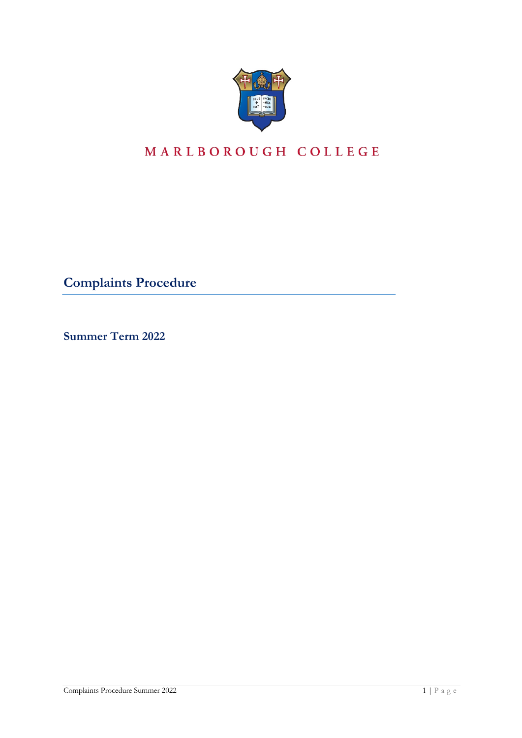

# MARLBOROUGH COLLEGE

**Complaints Procedure**

**Summer Term 2022**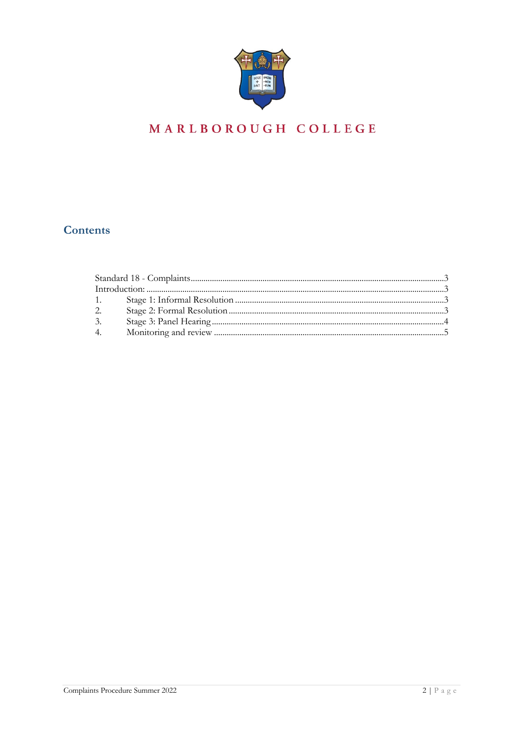

# MARLBOROUGH COLLEGE

## Contents

| $1.$ $\sim$ |  |  |
|-------------|--|--|
| 2.          |  |  |
| 3.          |  |  |
| 4.          |  |  |
|             |  |  |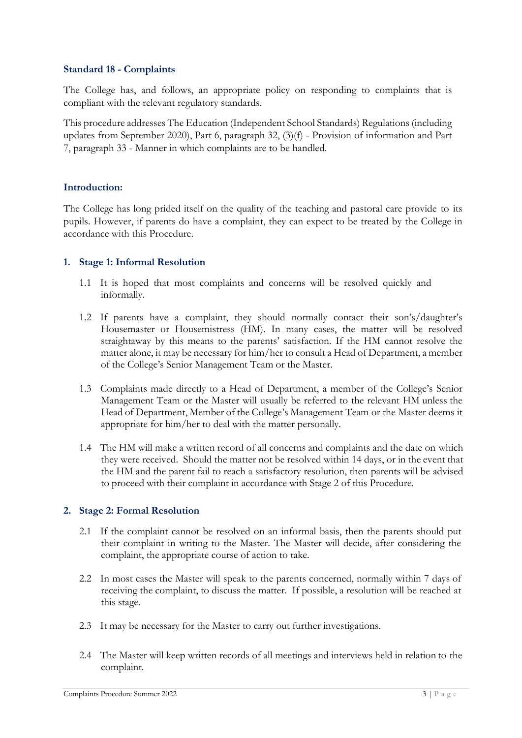#### **Standard 18 - Complaints**

The College has, and follows, an appropriate policy on responding to complaints that is compliant with the relevant regulatory standards.

This procedure addresses The Education (Independent School Standards) Regulations(including updates from September 2020), Part 6, paragraph 32, (3)(f) - Provision of information and Part 7, paragraph 33 - Manner in which complaints are to be handled.

#### **Introduction:**

The College has long prided itself on the quality of the teaching and pastoral care provide to its pupils. However, if parents do have a complaint, they can expect to be treated by the College in accordance with this Procedure.

#### **1. Stage 1: Informal Resolution**

- 1.1 It is hoped that most complaints and concerns will be resolved quickly and informally.
- 1.2 If parents have a complaint, they should normally contact their son's/daughter's Housemaster or Housemistress (HM). In many cases, the matter will be resolved straightaway by this means to the parents' satisfaction. If the HM cannot resolve the matter alone, it may be necessary for him/her to consult a Head of Department, a member of the College's Senior Management Team or the Master.
- 1.3 Complaints made directly to a Head of Department, a member of the College's Senior Management Team or the Master will usually be referred to the relevant HM unless the Head of Department, Member of the College's Management Team or the Master deems it appropriate for him/her to deal with the matter personally.
- 1.4 The HM will make a written record of all concerns and complaints and the date on which they were received. Should the matter not be resolved within 14 days, or in the event that the HM and the parent fail to reach a satisfactory resolution, then parents will be advised to proceed with their complaint in accordance with Stage 2 of this Procedure.

#### **2. Stage 2: Formal Resolution**

- 2.1 If the complaint cannot be resolved on an informal basis, then the parents should put their complaint in writing to the Master. The Master will decide, after considering the complaint, the appropriate course of action to take.
- 2.2 In most cases the Master will speak to the parents concerned, normally within 7 days of receiving the complaint, to discuss the matter. If possible, a resolution will be reached at this stage.
- 2.3 It may be necessary for the Master to carry out further investigations.
- 2.4 The Master will keep written records of all meetings and interviews held in relation to the complaint.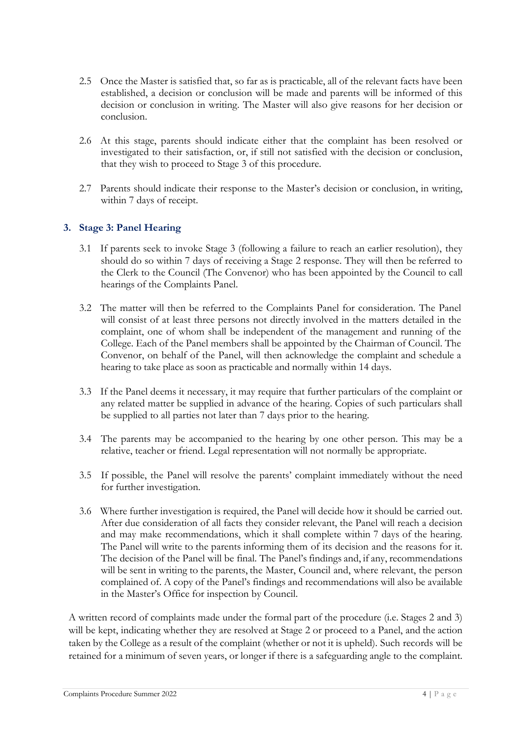- 2.5 Once the Master is satisfied that, so far as is practicable, all of the relevant facts have been established, a decision or conclusion will be made and parents will be informed of this decision or conclusion in writing. The Master will also give reasons for her decision or conclusion.
- 2.6 At this stage, parents should indicate either that the complaint has been resolved or investigated to their satisfaction, or, if still not satisfied with the decision or conclusion, that they wish to proceed to Stage 3 of this procedure.
- 2.7 Parents should indicate their response to the Master's decision or conclusion, in writing, within 7 days of receipt.

### **3. Stage 3: Panel Hearing**

- 3.1 If parents seek to invoke Stage 3 (following a failure to reach an earlier resolution), they should do so within 7 days of receiving a Stage 2 response. They will then be referred to the Clerk to the Council (The Convenor) who has been appointed by the Council to call hearings of the Complaints Panel.
- 3.2 The matter will then be referred to the Complaints Panel for consideration. The Panel will consist of at least three persons not directly involved in the matters detailed in the complaint, one of whom shall be independent of the management and running of the College. Each of the Panel members shall be appointed by the Chairman of Council. The Convenor, on behalf of the Panel, will then acknowledge the complaint and schedule a hearing to take place as soon as practicable and normally within 14 days.
- 3.3 If the Panel deems it necessary, it may require that further particulars of the complaint or any related matter be supplied in advance of the hearing. Copies of such particulars shall be supplied to all parties not later than 7 days prior to the hearing.
- 3.4 The parents may be accompanied to the hearing by one other person. This may be a relative, teacher or friend. Legal representation will not normally be appropriate.
- 3.5 If possible, the Panel will resolve the parents' complaint immediately without the need for further investigation.
- 3.6 Where further investigation is required, the Panel will decide how it should be carried out. After due consideration of all facts they consider relevant, the Panel will reach a decision and may make recommendations, which it shall complete within 7 days of the hearing. The Panel will write to the parents informing them of its decision and the reasons for it. The decision of the Panel will be final. The Panel's findings and, if any, recommendations will be sent in writing to the parents, the Master, Council and, where relevant, the person complained of. A copy of the Panel's findings and recommendations will also be available in the Master's Office for inspection by Council.

A written record of complaints made under the formal part of the procedure (i.e. Stages 2 and 3) will be kept, indicating whether they are resolved at Stage 2 or proceed to a Panel, and the action taken by the College as a result of the complaint (whether or not it is upheld). Such records will be retained for a minimum of seven years, or longer if there is a safeguarding angle to the complaint.